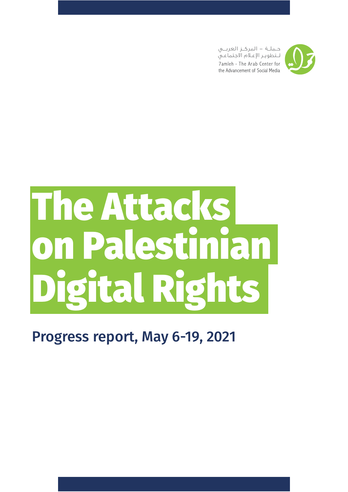



# The Attacks on Palestinian Digital Rights

### Progress report, May 6-19, 2021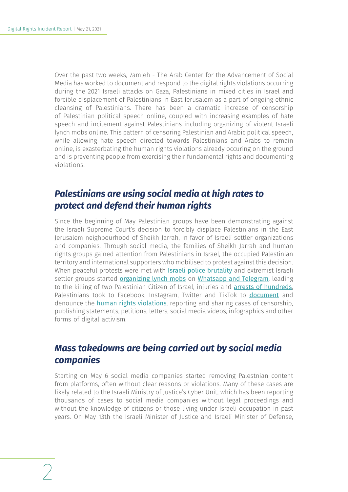Over the past two weeks, 7amleh - The Arab Center for the Advancement of Social Media has worked to document and respond to the digital rights violations occurring during the 2021 Israeli attacks on Gaza, Palestinians in mixed cities in Israel and forcible displacement of Palestinians in East Jerusalem as a part of ongoing ethnic cleansing of Palestinians. There has been a dramatic increase of censorship of Palestinian political speech online, coupled with increasing examples of hate speech and incitement against Palestinians including organizing of violent Israeli lynch mobs online. This pattern of censoring Palestinian and Arabic political speech, while allowing hate speech directed towards Palestinians and Arabs to remain online, is exasterbating the human rights violations already occuring on the ground and is preventing people from exercising their fundamental rights and documenting violations.

### *Palestinians are using social media at high rates to protect and defend their human rights*

Since the beginning of May Palestinian groups have been demonstrating against the Israeli Supreme Court's decision to forcibly displace Palestinians in the East Jerusalem neighbourhood of Sheikh Jarrah, in favor of Israeli settler organizations and companies. Through social media, the families of Sheikh Jarrah and human rights groups gained attention from Palestinians in Israel, the occupied Palestinian territory and international supporters who mobilised to protest against this decision. When peaceful protests were met with **[Israeli police brutality](https://www.haaretz.com/israel-news/how-palestinians-put-aside-their-fear-and-rallied-behind-sheikh-jarrah-1.9777730)** and extremist Israeli settler groups started [organizing lynch mobs](https://www.972mag.com/palestinian-protests-unity-jerusalem/) on [Whatsapp and Telegram](https://www.middleeastmonitor.com/20210507-israel-soldiers-settlers-attack-palestinians-resisting-forceful-eviction-in-sheikh-jarrah/), leading to the killing of two Palestinian Citizen of Israel, injuries and [arrests of hundreds](https://www.jta.org/2021/05/12/israel/were-watching-a-lynching-jewish-crowd-in-israel-beats-arab-man-as-country-erupts-in-unrest), Palestinians took to Facebook, Instagram, Twitter and TikTok to **[document](https://www.aljazeera.com/news/2021/5/1/what-is-happening-in-occupied-east-jerusalems-sheikh-jarrah)** and denounce the **[human rights violations](https://twitter.com/theIMEU/status/1393609251105525760)**, reporting and sharing cases of censorship, publishing statements, petitions, letters, social media videos, infographics and other forms of digital activism.

### *Mass takedowns are being carried out by social media companies*

Starting on May 6 social media companies started removing Palestnian content from platforms, often without clear reasons or violations. Many of these cases are likely related to the Israeli Ministry of Justice's Cyber Unit, which has been reporting thousands of cases to social media companies without legal proceedings and without the knowledge of citizens or those living under Israeli occupation in past years. On May 13th the Israeli Minister of Justice and Israeli Minister of Defense,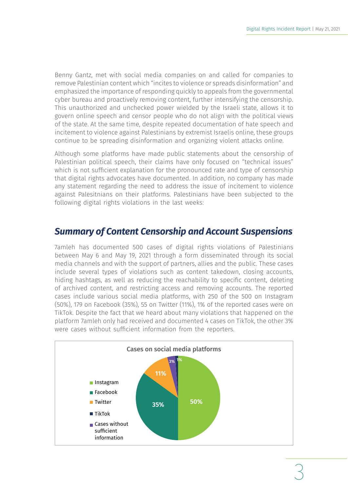Benny Gantz, met with social media companies on and called for companies to remove Palestinian content which "incites to violence or spreads disinformation" and emphasized the importance of responding quickly to appeals from the governmental cyber bureau and proactively removing content, further intensifying the censorship. This unauthorized and unchecked power wielded by the Israeli state, allows it to govern online speech and censor people who do not align with the political views of the state. At the same time, despite repeated documentation of hate speech and incitement to violence against Palestinians by extremist Israelis online, these groups continue to be spreading disinformation and organizing violent attacks online.

Although some platforms have made public statements about the censorship of Palestinian political speech, their claims have only focused on "technical issues" which is not sufficient explanation for the pronounced rate and type of censorship that digital rights advocates have documented. In addition, no company has made any statement regarding the need to address the issue of incitement to violence against Palesitnians on their platforms. Palestinians have been subjected to the following digital rights violations in the last weeks:

### *Summary of Content Censorship and Account Suspensions*

7amleh has documented 500 cases of digital rights violations of Palestinians between May 6 and May 19, 2021 through a form disseminated through its social media channels and with the support of partners, allies and the public. These cases include several types of violations such as content takedown, closing accounts, hiding hashtags, as well as reducing the reachability to specific content, deleting of archived content, and restricting access and removing accounts. The reported cases include various social media platforms, with 250 of the 500 on Instagram (50%), 179 on Facebook (35%), 55 on Twitter (11%), 1% of the reported cases were on TikTok. Despite the fact that we heard about many violations that happened on the platform 7amleh only had received and documented 4 cases on TikTok, the other 3% were cases without sufficient information from the reporters.

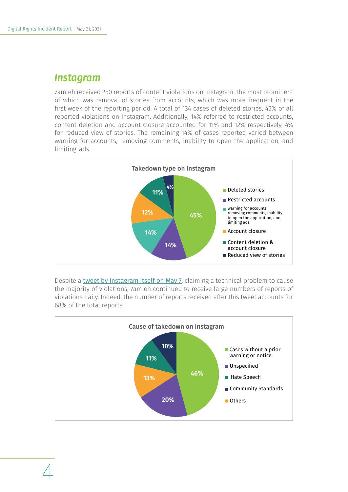### *Instagram*

7amleh received 250 reports of content violations on Instagram, the most prominent of which was removal of stories from accounts, which was more frequent in the first week of the reporting period. A total of 134 cases of deleted stories, 45% of all reported violations on Instagram. Additionally, 14% referred to restricted accounts, content deletion and account closure accounted for 11% and 12% respectively, 4% for reduced view of stories. The remaining 14% of cases reported varied between warning for accounts, removing comments, inability to open the application, and limiting ads.



Despite a [tweet by Instagram itself on May 7](http://tweet by Instagram itself on May 7), claiming a technical problem to cause the majority of violations, 7amleh continued to receive large numbers of reports of violations daily. Indeed, the number of reports received after this tweet accounts for 68% of the total reports.

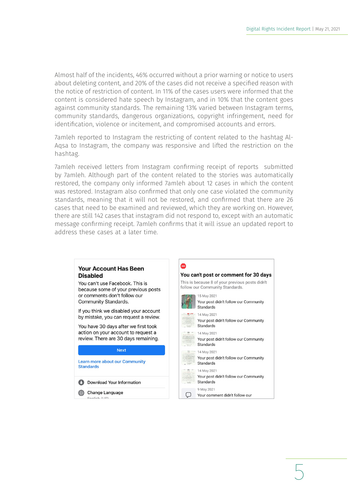5

Almost half of the incidents, 46% occurred without a prior warning or notice to users about deleting content, and 20% of the cases did not receive a specified reason with the notice of restriction of content. In 11% of the cases users were informed that the content is considered hate speech by Instagram, and in 10% that the content goes against community standards. The remaining 13% varied between Instagram terms, community standards, dangerous organizations, copyright infringement, need for identification, violence or incitement, and compromised accounts and errors.

7amleh reported to Instagram the restricting of content related to the hashtag Al-Aqsa to Instagram, the company was responsive and lifted the restriction on the hashtag.

7amleh received letters from Instagram confirming receipt of reports submitted by 7amleh. Although part of the content related to the stories was automatically restored, the company only informed 7amleh about 12 cases in which the content was restored. Instagram also confirmed that only one case violated the community standards, meaning that it will not be restored, and confirmed that there are 26 cases that need to be examined and reviewed, which they are working on. However, there are still 142 cases that instagram did not respond to, except with an automatic message confirming receipt. 7amleh confirms that it will issue an updated report to address these cases at a later time.

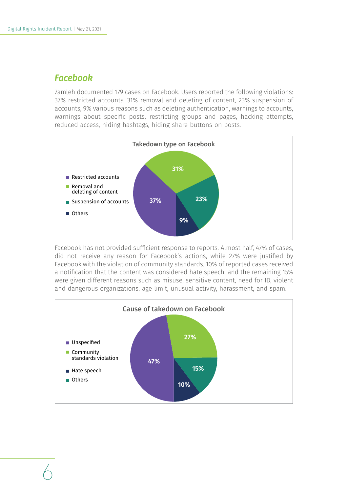### *Facebook*

7amleh documented 179 cases on Facebook. Users reported the following violations: 37% restricted accounts, 31% removal and deleting of content, 23% suspension of accounts, 9% various reasons such as deleting authentication, warnings to accounts, warnings about specific posts, restricting groups and pages, hacking attempts, reduced access, hiding hashtags, hiding share buttons on posts.



Facebook has not provided sufficient response to reports. Almost half, 47% of cases, did not receive any reason for Facebook's actions, while 27% were justified by Facebook with the violation of community standards. 10% of reported cases received a notification that the content was considered hate speech, and the remaining 15% were given different reasons such as misuse, sensitive content, need for ID, violent and dangerous organizations, age limit, unusual activity, harassment, and spam.

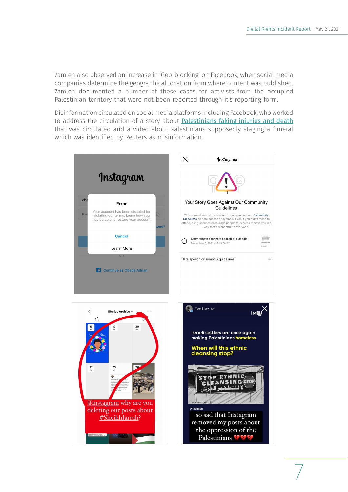7amleh also observed an increase in 'Geo-blocking' on Facebook, when social media companies determine the geographical location from where content was published. 7amleh documented a number of these cases for activists from the occupied Palestinian territory that were not been reported through it's reporting form.

Disinformation circulated on social media platforms including Facebook, who worked to address the circulation of a story about [Palestinians faking injuries and death](http://Palestinians faking injuries and death) that was circulated and a video about Palestinians supposedly staging a funeral which was identified by Reuters as misinformation.





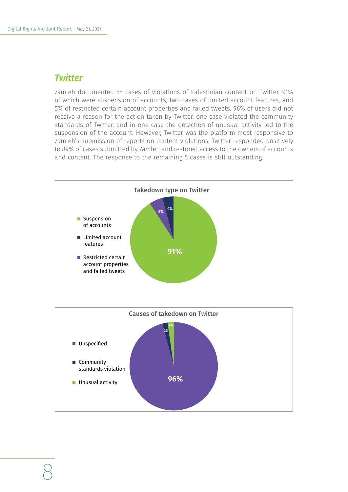### *Twitter*

7amleh documented 55 cases of violations of Palestinian content on Twitter, 91% of which were suspension of accounts, two cases of limited account features, and 5% of restricted certain account properties and failed tweets. 96% of users did not receive a reason for the action taken by Twitter. one case violated the community standards of Twitter, and in one case the detection of unusual activity led to the suspension of the account. However, Twitter was the platform most responsive to 7amleh's submission of reports on content violations. Twitter responded positively to 89% of cases submitted by 7amleh and restored access to the owners of accounts and content. The response to the remaining 5 cases is still outstanding.



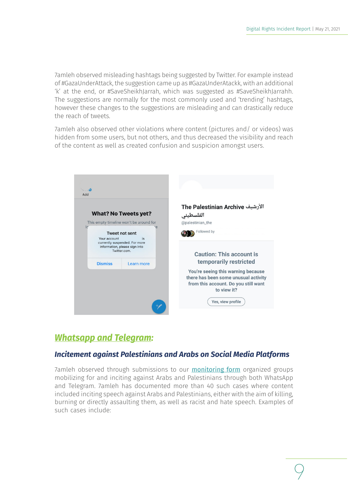7amleh observed misleading hashtags being suggested by Twitter. For example instead of #GazaUnderAttack, the suggestion came up as #GazaUnderAtackk, with an additional 'k' at the end, or #SaveSheikhJarrah, which was suggested as #SaveSheikhJarrahh. The suggestions are normally for the most commonly used and 'trending' hashtags, however these changes to the suggestions are misleading and can drastically reduce the reach of tweets.

7amleh also observed other violations where content (pictures and/ or videos) was hidden from some users, but not others, and thus decreased the visibility and reach of the content as well as created confusion and suspicion amongst users.

| hhA                                                                                                                      |                                         |                                                                                                                                   |
|--------------------------------------------------------------------------------------------------------------------------|-----------------------------------------|-----------------------------------------------------------------------------------------------------------------------------------|
|                                                                                                                          |                                         | الأرشيف The Palestinian Archive                                                                                                   |
| <b>What? No Tweets yet?</b>                                                                                              |                                         | الفلسطيني                                                                                                                         |
|                                                                                                                          | This empty timeline won't be around for | @palestinian_the                                                                                                                  |
| c <br>e<br><b>Tweet not sent</b><br>Your account<br>is<br>currently suspended. For more<br>information, please sign into |                                         | Followed by                                                                                                                       |
| Twitter.com.                                                                                                             |                                         | <b>Caution: This account is</b>                                                                                                   |
| <b>Dismiss</b>                                                                                                           | Learn more                              | temporarily restricted                                                                                                            |
|                                                                                                                          |                                         | You're seeing this warning because<br>there has been some unusual activity<br>from this account. Do you still want<br>to view it? |
|                                                                                                                          |                                         | Yes, view profile                                                                                                                 |

### *Whatsapp and Telegram:*

### *Incitement against Palestinians and Arabs on Social Media Platforms*

7amleh observed through submissions to our **[monitoring form](https://forms.gle/ZZAKWZDhE8TUmvHK9)** organized groups mobilizing for and inciting against Arabs and Palestinians through both WhatsApp and Telegram. 7amleh has documented more than 40 such cases where content included inciting speech against Arabs and Palestinians, either with the aim of killing, burning or directly assaulting them, as well as racist and hate speech. Examples of such cases include: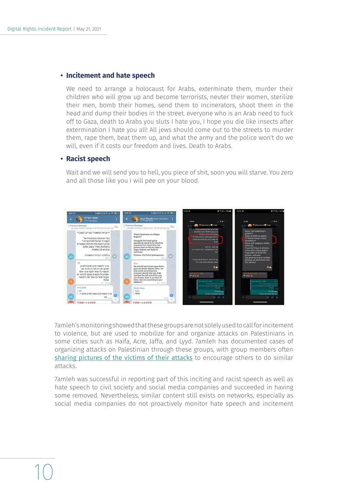### **• Incitement and hate speech**

We need to arrange a holocaust for Arabs, exterminate them, murder their children who will grow up and become terrorists, neuter their women, sterilize their men, bomb their homes, send them to incinerators, shoot them in the head and dump their bodies in the street. everyone who is an Arab need to fuck off to Gaza, death to Arabs you sluts I hate you, I hope you die like insects after extermination I hate you all! All jews should come out to the streets to murder them, rape them, beat them up, and what the army and the police won't do we will, even if it costs our freedom and lives. Death to Arabs.

#### **• Racist speech**

Wait and we will send you to hell, you piece of shit, soon you will starve. You zero and all those like you I will pee on your blood.



7amleh's monitoring showed that these groups are not solely used to call for incitement to violence, but are used to mobilize for and organize attacks on Palestinians in some cities such as Haifa, Acre, Jaffa, and Lyyd. 7amleh has documented cases of organizing attacks on Palestinian through these groups, with group members often [sharing pictures of the victims of their attacks](https://www.nytimes.com/2021/05/19/technology/israeli-clashes-pro-violence-groups-whatsapp.html?smid=url-share) to encourage others to do similar attacks.

7amleh was successful in reporting part of this inciting and racist speech as well as hate speech to civil society and social media companies and succeeded in having some removed. Nevertheless, similar content still exists on networks, especially as social media companies do not proactively monitor hate speech and incitement

## 10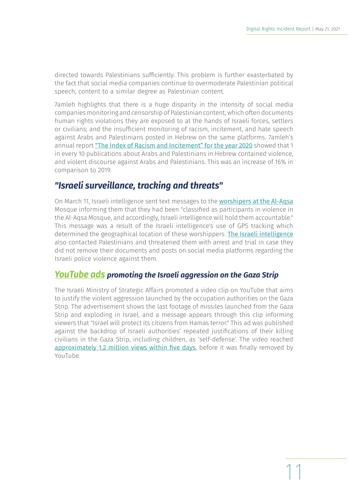directed towards Palestinians sufficiently. This problem is further exasterbated by the fact that social media companies continue to overmoderate Palestinian political speech, content to a similar degree as Palestinian content.

7amleh highlights that there is a huge disparity in the intensity of social media companies monitoring and censorship of Palestinian content, which often documents human rights violations they are exposed to at the hands of Israeli forces, settlers or civilians; and the insufficient monitoring of racism, incitement, and hate speech against Arabs and Palestinians posted in Hebrew on the same platforms. 7amleh's annual report ["The Index of Racism and Incitement" for the year 2020](https://7amleh.org/2021/03/08/racism-and-incitement-index-2020-the-increase-in-racism-and-incitement-against-palestinians-and-arabs-during-the-pandemic) showed that 1 in every 10 publications about Arabs and Palestinians in Hebrew contained violence, and violent discourse against Arabs and Palestinians. This was an increase of 16% in comparison to 2019.

### *"Israeli surveillance, tracking and threats"*

On March 11, Israeli intelligence sent text messages to the [worshipers at the Al-Aqsa](https://twitter.com/m7mdkurd/status/1391888694169247744) Mosque informing them that they had been "classified as participants in violence in the Al-Aqsa Mosque, and accordingly, Israeli intelligence will hold them accountable." This message was a result of the Israeli intelligence's use of GPS tracking which determined the geographical location of these worshippers. [The Israeli intelligence](https://twitter.com/m7mdkurd/status/1393291797162508293) also contacted Palestinians and threatened them with arrest and trial in case they did not remove their documents and posts on social media platforms regarding the Israeli police violence against them.

### *YouTube ads promoting the Israeli aggression on the Gaza Strip*

The Israeli Ministry of Strategic Affairs promoted a video clip on YouTube that aims to justify the violent aggression launched by the occupation authorities on the Gaza Strip. The advertisement shows the last footage of missiles launched from the Gaza Strip and exploding in Israel, and a message appears through this clip informing viewers that "Israel will protect its citizens from Hamas terror." This ad was published against the backdrop of Israeli authorities' repeated justifications of their killing civilians in the Gaza Strip, including children, as 'self-defense'. The video reached [approximately 1.2 million views within five days](https://www.vice.com/en/article/epnx3p/youtube-removes-israeli-government-ad-gaza), before it was finally removed by YouTube.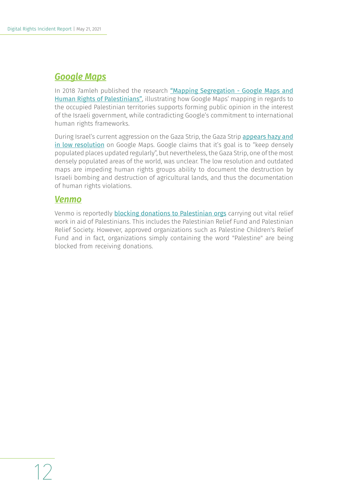### *Google Maps*

In 2018 7amleh published the research "Mapping Segregation - Google Maps and [Human Rights of Palestinians"](https://7amleh.org/2018/09/18/google-maps-endangering-palestinian-human-rights), illustrating how Google Maps' mapping in regards to the occupied Palestinian territories supports forming public opinion in the interest of the Israeli government, while contradicting Google's commitment to international human rights frameworks.

During Israel's current aggression on the Gaza Strip, the Gaza Strip [appears hazy and](https://www.bbc.com/news/57102499)  [in low resolution](https://www.bbc.com/news/57102499) on Google Maps. Google claims that it's goal is to "keep densely populated places updated regularly", but nevertheless, the Gaza Strip, one of the most densely populated areas of the world, was unclear. The low resolution and outdated maps are impeding human rights groups ability to document the destruction by Israeli bombing and destruction of agricultural lands, and thus the documentation of human rights violations.

### *Venmo*

Venmo is reportedly **[blocking donations to Palestinian orgs](https://www.businessinsider.com/venmo-blocking-palestine-relief-payments-us-treasury-sanctions-rules-2021-5?r=US&IR=T)** carrying out vital relief work in aid of Palestinians. This includes the Palestinian Relief Fund and Palestinian Relief Society. However, approved organizations such as Palestine Children's Relief Fund and in fact, organizations simply containing the word "Palestine" are being blocked from receiving donations.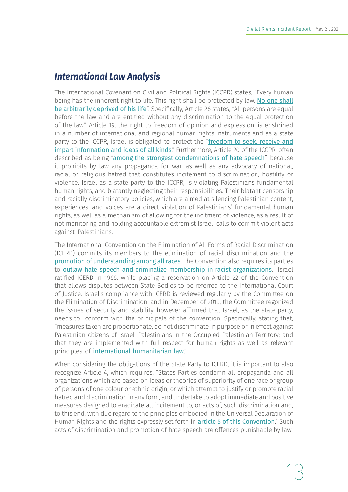### *International Law Analysis*

The International Covenant on Civil and Political Rights (ICCPR) states, "Every human being has the inherent right to life. This right shall be protected by law. No one shall [be arbitrarily deprived of his life](https://www.ohchr.org/en/professionalinterest/pages/ccpr.aspx)". Specifically, Article 26 states, "All persons are equal before the law and are entitled without any discrimination to the equal protection of the law." Article 19, the right to freedom of opinion and expression, is enshrined in a number of international and regional human rights instruments and as a state party to the ICCPR, Israel is obligated to protect the "freedom to seek, receive and [impart information and ideas of all kinds](https://www.ohchr.org/en/professionalinterest/pages/ccpr.aspx)." Furthermore, Article 20 of the ICCPR, often described as being "[among the strongest condemnations of hate speech](https://www.ohchr.org/Documents/Issues/Expression/ICCPR/Vienna/CRP5Ghanea.pdf)", because it prohibits by law any propaganda for war, as well as any advocacy of national, racial or religious hatred that constitutes incitement to discrimination, hostility or violence. Israel as a state party to the ICCPR, is violating Palestinians fundamental human rights, and blatantly neglecting their responsibilities. Their blatant censorship and racially discriminatory policies, which are aimed at silencing Palestinian content, experiences, and voices are a direct violation of Palestinians' fundamental human rights, as well as a mechanism of allowing for the incitment of violence, as a result of not monitoring and holding accountable extremist Israeli calls to commit violent acts against Palestinians.

The International Convention on the Elimination of All Forms of Racial Discrimination (ICERD) commits its members to the elimination of racial discrimination and the [promotion of understanding among all races](https://www.refworld.org/docid/3ae6b3940.html). The Convention also requires its parties to **[outlaw hate speech and criminalize membership in racist organizations](https://www.refworld.org/docid/3ae6b3940.html)**. Israel ratified ICERD in 1966, while placing a reservation on Article 22 of the Convention that allows disputes between State Bodies to be referred to the International Court of Justice. Israel's compliance with ICERD is reviewed regularly by the Committee on the Elimination of Discrimination, and in December of 2019, the Committee regonized the issues of security and stability, however affirmed that Israel, as the state party, needs to conform with the prinicipals of the convention. Specifically, stating that, "measures taken are proportionate, do not discriminate in purpose or in effect against Palestinian citizens of Israel, Palestinians in the Occupied Palestinian Territory; and that they are implemented with full respect for human rights as well as relevant principles of [international humanitarian law](https://tbinternet.ohchr.org/Treaties/CERD/Shared Documents/ISR/INT_CERD_COC_ISR_40809_E.pdf)."

When considering the obligations of the State Party to ICERD, it is important to also recognize Article 4, which requires, "States Parties condemn all propaganda and all organizations which are based on ideas or theories of superiority of one race or group of persons of one colour or ethnic origin, or which attempt to justify or promote racial hatred and discrimination in any form, and undertake to adopt immediate and positive measures designed to eradicate all incitement to, or acts of, such discrimination and, to this end, with due regard to the principles embodied in the Universal Declaration of Human Rights and the rights expressly set forth in **[article 5 of this Convention](https://www.refworld.org/docid/3ae6b3940.html)**." Such acts of discrimination and promotion of hate speech are offences punishable by law.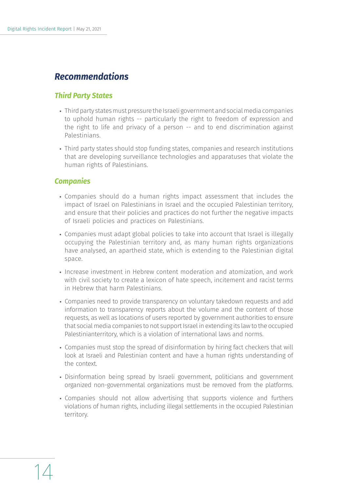### *Recommendations*

### *Third Party States*

- Third party states must pressure the Israeli government and social media companies to uphold human rights -- particularly the right to freedom of expression and the right to life and privacy of a person -- and to end discrimination against Palestinians.
- Third party states should stop funding states, companies and research institutions that are developing surveillance technologies and apparatuses that violate the human rights of Palestinians.

### *Companies*

- Companies should do a human rights impact assessment that includes the impact of Israel on Palestinians in Israel and the occupied Palestinian territory, and ensure that their policies and practices do not further the negative impacts of Israeli policies and practices on Palestinians.
- Companies must adapt global policies to take into account that Israel is illegally occupying the Palestinian territory and, as many human rights organizations have analysed, an apartheid state, which is extending to the Palestinian digital space.
- Increase investment in Hebrew content moderation and atomization, and work with civil society to create a lexicon of hate speech, incitement and racist terms in Hebrew that harm Palestinians.
- Companies need to provide transparency on voluntary takedown requests and add information to transparency reports about the volume and the content of those requests, as well as locations of users reported by government authorities to ensure that social media companies to not support Israel in extending its law to the occupied Palestinianterritory, which is a violation of international laws and norms.
- Companies must stop the spread of disinformation by hiring fact checkers that will look at Israeli and Palestinian content and have a human rights understanding of the context.
- Disinformation being spread by Israeli government, politicians and government organized non-governmental organizations must be removed from the platforms.
- Companies should not allow advertising that supports violence and furthers violations of human rights, including illegal settlements in the occupied Palestinian territory.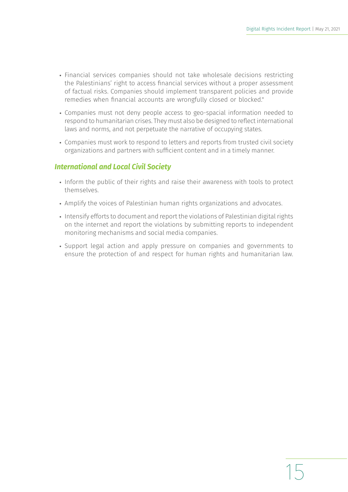15

- Financial services companies should not take wholesale decisions restricting the Palestinians' right to access financial services without a proper assessment of factual risks. Companies should implement transparent policies and provide remedies when financial accounts are wrongfully closed or blocked."
- Companies must not deny people access to geo-spacial information needed to respond to humanitarian crises. They must also be designed to reflect international laws and norms, and not perpetuate the narrative of occupying states.
- Companies must work to respond to letters and reports from trusted civil society organizations and partners with sufficient content and in a timely manner.

### *International and Local Civil Society*

- Inform the public of their rights and raise their awareness with tools to protect themselves.
- Amplify the voices of Palestinian human rights organizations and advocates.
- Intensify efforts to document and report the violations of Palestinian digital rights on the internet and report the violations by submitting reports to independent monitoring mechanisms and social media companies.
- Support legal action and apply pressure on companies and governments to ensure the protection of and respect for human rights and humanitarian law.